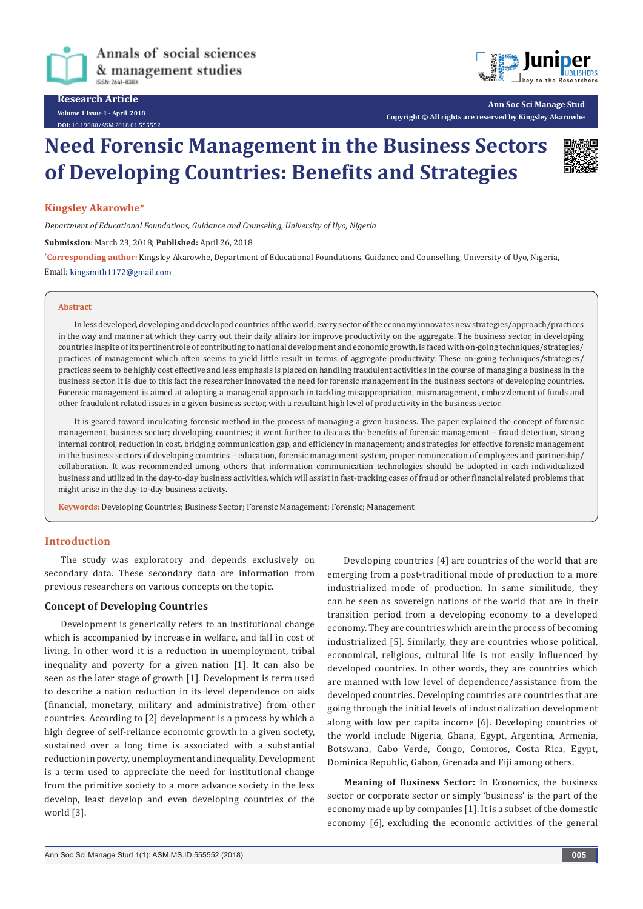



**Ann Soc Sci Manage Stud Copyright © All rights are reserved by Kingsley Akarowhe**

# **Need Forensic Management in the Business Sectors of Developing Countries: Benefits and Strategies**

**Kingsley Akarowhe\***

*Department of Educational Foundations, Guidance and Counseling, University of Uyo, Nigeria*

**Submission**: March 23, 2018; **Published:** April 26, 2018

**\* Corresponding author:** Kingsley Akarowhe, Department of Educational Foundations, Guidance and Counselling, University of Uyo, Nigeria, Email: kingsmith1172@gmail.com

#### **Abstract**

In less developed, developing and developed countries of the world, every sector of the economy innovates new strategies/approach/practices in the way and manner at which they carry out their daily affairs for improve productivity on the aggregate. The business sector, in developing countries inspite of its pertinent role of contributing to national development and economic growth, is faced with on-going techniques/strategies/ practices of management which often seems to yield little result in terms of aggregate productivity. These on-going techniques/strategies/ practices seem to be highly cost effective and less emphasis is placed on handling fraudulent activities in the course of managing a business in the business sector. It is due to this fact the researcher innovated the need for forensic management in the business sectors of developing countries. Forensic management is aimed at adopting a managerial approach in tackling misappropriation, mismanagement, embezzlement of funds and other fraudulent related issues in a given business sector, with a resultant high level of productivity in the business sector.

It is geared toward inculcating forensic method in the process of managing a given business. The paper explained the concept of forensic management, business sector; developing countries; it went further to discuss the benefits of forensic management – fraud detection, strong internal control, reduction in cost, bridging communication gap, and efficiency in management; and strategies for effective forensic management in the business sectors of developing countries – education, forensic management system, proper remuneration of employees and partnership/ collaboration. It was recommended among others that information communication technologies should be adopted in each individualized business and utilized in the day-to-day business activities, which will assist in fast-tracking cases of fraud or other financial related problems that might arise in the day-to-day business activity.

**Keywords:** Developing Countries; Business Sector; Forensic Management; Forensic; Management

# **Introduction**

The study was exploratory and depends exclusively on secondary data. These secondary data are information from previous researchers on various concepts on the topic.

#### **Concept of Developing Countries**

Development is generically refers to an institutional change which is accompanied by increase in welfare, and fall in cost of living. In other word it is a reduction in unemployment, tribal inequality and poverty for a given nation [1]. It can also be seen as the later stage of growth [1]. Development is term used to describe a nation reduction in its level dependence on aids (financial, monetary, military and administrative) from other countries. According to [2] development is a process by which a high degree of self-reliance economic growth in a given society, sustained over a long time is associated with a substantial reduction in poverty, unemployment and inequality. Development is a term used to appreciate the need for institutional change from the primitive society to a more advance society in the less develop, least develop and even developing countries of the world [3].

Developing countries [4] are countries of the world that are emerging from a post-traditional mode of production to a more industrialized mode of production. In same similitude, they can be seen as sovereign nations of the world that are in their transition period from a developing economy to a developed economy. They are countries which are in the process of becoming industrialized [5]. Similarly, they are countries whose political, economical, religious, cultural life is not easily influenced by developed countries. In other words, they are countries which are manned with low level of dependence/assistance from the developed countries. Developing countries are countries that are going through the initial levels of industrialization development along with low per capita income [6]. Developing countries of the world include Nigeria, Ghana, Egypt, Argentina, Armenia, Botswana, Cabo Verde, Congo, Comoros, Costa Rica, Egypt, Dominica Republic, Gabon, Grenada and Fiji among others.

**Meaning of Business Sector:** In Economics, the business sector or corporate sector or simply 'business' is the part of the economy made up by companies [1]. It is a subset of the domestic economy [6], excluding the economic activities of the general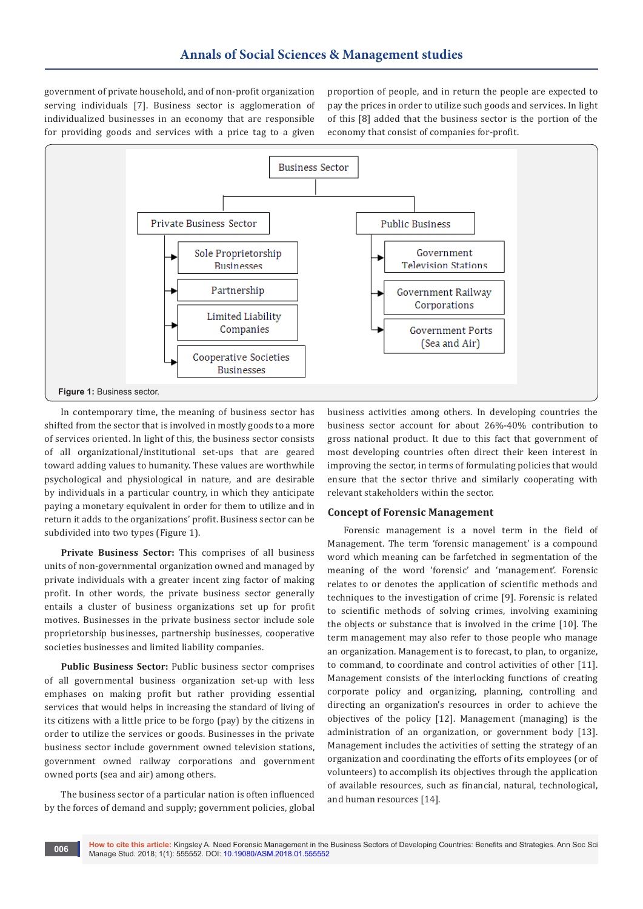government of private household, and of non-profit organization serving individuals [7]. Business sector is agglomeration of individualized businesses in an economy that are responsible for providing goods and services with a price tag to a given proportion of people, and in return the people are expected to pay the prices in order to utilize such goods and services. In light of this [8] added that the business sector is the portion of the economy that consist of companies for-profit.



In contemporary time, the meaning of business sector has shifted from the sector that is involved in mostly goods to a more of services oriented. In light of this, the business sector consists of all organizational/institutional set-ups that are geared toward adding values to humanity. These values are worthwhile psychological and physiological in nature, and are desirable by individuals in a particular country, in which they anticipate paying a monetary equivalent in order for them to utilize and in return it adds to the organizations' profit. Business sector can be subdivided into two types (Figure 1).

**Private Business Sector:** This comprises of all business units of non-governmental organization owned and managed by private individuals with a greater incent zing factor of making profit. In other words, the private business sector generally entails a cluster of business organizations set up for profit motives. Businesses in the private business sector include sole proprietorship businesses, partnership businesses, cooperative societies businesses and limited liability companies.

**Public Business Sector:** Public business sector comprises of all governmental business organization set-up with less emphases on making profit but rather providing essential services that would helps in increasing the standard of living of its citizens with a little price to be forgo (pay) by the citizens in order to utilize the services or goods. Businesses in the private business sector include government owned television stations, government owned railway corporations and government owned ports (sea and air) among others.

The business sector of a particular nation is often influenced by the forces of demand and supply; government policies, global

business activities among others. In developing countries the business sector account for about 26%-40% contribution to gross national product. It due to this fact that government of most developing countries often direct their keen interest in improving the sector, in terms of formulating policies that would ensure that the sector thrive and similarly cooperating with relevant stakeholders within the sector.

## **Concept of Forensic Management**

Forensic management is a novel term in the field of Management. The term 'forensic management' is a compound word which meaning can be farfetched in segmentation of the meaning of the word 'forensic' and 'management'. Forensic relates to or denotes the application of scientific methods and techniques to the investigation of crime [9]. Forensic is related to scientific methods of solving crimes, involving examining the objects or substance that is involved in the crime [10]. The term management may also refer to those people who manage an organization. Management is to forecast, to plan, to organize, to command, to coordinate and control activities of other [11]. Management consists of the interlocking functions of creating corporate policy and organizing, planning, controlling and directing an organization's resources in order to achieve the objectives of the policy [12]. Management (managing) is the administration of an organization, or government body [13]. Management includes the activities of setting the strategy of an organization and coordinating the efforts of its employees (or of volunteers) to accomplish its objectives through the application of available resources, such as financial, natural, technological, and human resources [14].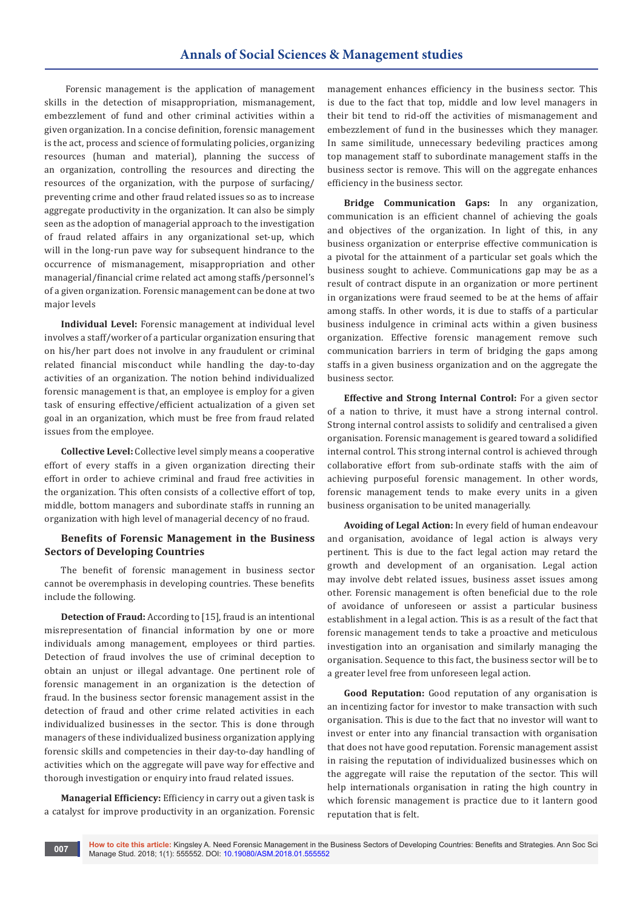Forensic management is the application of management skills in the detection of misappropriation, mismanagement, embezzlement of fund and other criminal activities within a given organization. In a concise definition, forensic management is the act, process and science of formulating policies, organizing resources (human and material), planning the success of an organization, controlling the resources and directing the resources of the organization, with the purpose of surfacing/ preventing crime and other fraud related issues so as to increase aggregate productivity in the organization. It can also be simply seen as the adoption of managerial approach to the investigation of fraud related affairs in any organizational set-up, which will in the long-run pave way for subsequent hindrance to the occurrence of mismanagement, misappropriation and other managerial/financial crime related act among staffs/personnel's of a given organization. Forensic management can be done at two major levels

**Individual Level:** Forensic management at individual level involves a staff/worker of a particular organization ensuring that on his/her part does not involve in any fraudulent or criminal related financial misconduct while handling the day-to-day activities of an organization. The notion behind individualized forensic management is that, an employee is employ for a given task of ensuring effective/efficient actualization of a given set goal in an organization, which must be free from fraud related issues from the employee.

**Collective Level:** Collective level simply means a cooperative effort of every staffs in a given organization directing their effort in order to achieve criminal and fraud free activities in the organization. This often consists of a collective effort of top, middle, bottom managers and subordinate staffs in running an organization with high level of managerial decency of no fraud.

## **Benefits of Forensic Management in the Business Sectors of Developing Countries**

The benefit of forensic management in business sector cannot be overemphasis in developing countries. These benefits include the following.

**Detection of Fraud:** According to [15], fraud is an intentional misrepresentation of financial information by one or more individuals among management, employees or third parties. Detection of fraud involves the use of criminal deception to obtain an unjust or illegal advantage. One pertinent role of forensic management in an organization is the detection of fraud. In the business sector forensic management assist in the detection of fraud and other crime related activities in each individualized businesses in the sector. This is done through managers of these individualized business organization applying forensic skills and competencies in their day-to-day handling of activities which on the aggregate will pave way for effective and thorough investigation or enquiry into fraud related issues.

**Managerial Efficiency:** Efficiency in carry out a given task is a catalyst for improve productivity in an organization. Forensic management enhances efficiency in the business sector. This is due to the fact that top, middle and low level managers in their bit tend to rid-off the activities of mismanagement and embezzlement of fund in the businesses which they manager. In same similitude, unnecessary bedeviling practices among top management staff to subordinate management staffs in the business sector is remove. This will on the aggregate enhances efficiency in the business sector.

**Bridge Communication Gaps:** In any organization, communication is an efficient channel of achieving the goals and objectives of the organization. In light of this, in any business organization or enterprise effective communication is a pivotal for the attainment of a particular set goals which the business sought to achieve. Communications gap may be as a result of contract dispute in an organization or more pertinent in organizations were fraud seemed to be at the hems of affair among staffs. In other words, it is due to staffs of a particular business indulgence in criminal acts within a given business organization. Effective forensic management remove such communication barriers in term of bridging the gaps among staffs in a given business organization and on the aggregate the business sector.

**Effective and Strong Internal Control:** For a given sector of a nation to thrive, it must have a strong internal control. Strong internal control assists to solidify and centralised a given organisation. Forensic management is geared toward a solidified internal control. This strong internal control is achieved through collaborative effort from sub-ordinate staffs with the aim of achieving purposeful forensic management. In other words, forensic management tends to make every units in a given business organisation to be united managerially.

**Avoiding of Legal Action:** In every field of human endeavour and organisation, avoidance of legal action is always very pertinent. This is due to the fact legal action may retard the growth and development of an organisation. Legal action may involve debt related issues, business asset issues among other. Forensic management is often beneficial due to the role of avoidance of unforeseen or assist a particular business establishment in a legal action. This is as a result of the fact that forensic management tends to take a proactive and meticulous investigation into an organisation and similarly managing the organisation. Sequence to this fact, the business sector will be to a greater level free from unforeseen legal action.

**Good Reputation:** Good reputation of any organisation is an incentizing factor for investor to make transaction with such organisation. This is due to the fact that no investor will want to invest or enter into any financial transaction with organisation that does not have good reputation. Forensic management assist in raising the reputation of individualized businesses which on the aggregate will raise the reputation of the sector. This will help internationals organisation in rating the high country in which forensic management is practice due to it lantern good reputation that is felt.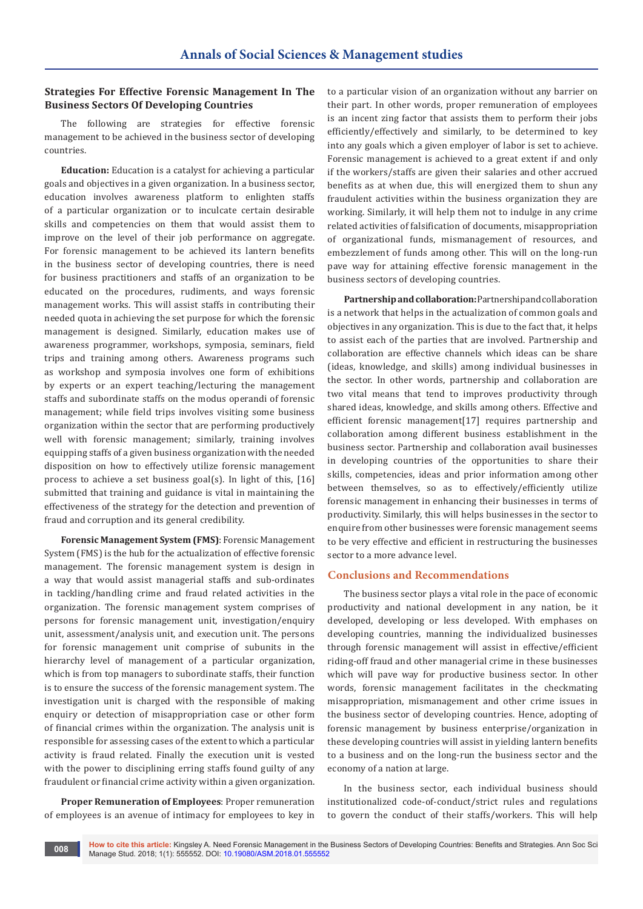# **Strategies For Effective Forensic Management In The Business Sectors Of Developing Countries**

The following are strategies for effective forensic management to be achieved in the business sector of developing countries.

**Education:** Education is a catalyst for achieving a particular goals and objectives in a given organization. In a business sector, education involves awareness platform to enlighten staffs of a particular organization or to inculcate certain desirable skills and competencies on them that would assist them to improve on the level of their job performance on aggregate. For forensic management to be achieved its lantern benefits in the business sector of developing countries, there is need for business practitioners and staffs of an organization to be educated on the procedures, rudiments, and ways forensic management works. This will assist staffs in contributing their needed quota in achieving the set purpose for which the forensic management is designed. Similarly, education makes use of awareness programmer, workshops, symposia, seminars, field trips and training among others. Awareness programs such as workshop and symposia involves one form of exhibitions by experts or an expert teaching/lecturing the management staffs and subordinate staffs on the modus operandi of forensic management; while field trips involves visiting some business organization within the sector that are performing productively well with forensic management; similarly, training involves equipping staffs of a given business organization with the needed disposition on how to effectively utilize forensic management process to achieve a set business goal(s). In light of this, [16] submitted that training and guidance is vital in maintaining the effectiveness of the strategy for the detection and prevention of fraud and corruption and its general credibility.

**Forensic Management System (FMS)**: Forensic Management System (FMS) is the hub for the actualization of effective forensic management. The forensic management system is design in a way that would assist managerial staffs and sub-ordinates in tackling/handling crime and fraud related activities in the organization. The forensic management system comprises of persons for forensic management unit, investigation/enquiry unit, assessment/analysis unit, and execution unit. The persons for forensic management unit comprise of subunits in the hierarchy level of management of a particular organization, which is from top managers to subordinate staffs, their function is to ensure the success of the forensic management system. The investigation unit is charged with the responsible of making enquiry or detection of misappropriation case or other form of financial crimes within the organization. The analysis unit is responsible for assessing cases of the extent to which a particular activity is fraud related. Finally the execution unit is vested with the power to disciplining erring staffs found guilty of any fraudulent or financial crime activity within a given organization.

**Proper Remuneration of Employees**: Proper remuneration of employees is an avenue of intimacy for employees to key in

to a particular vision of an organization without any barrier on their part. In other words, proper remuneration of employees is an incent zing factor that assists them to perform their jobs efficiently/effectively and similarly, to be determined to key into any goals which a given employer of labor is set to achieve. Forensic management is achieved to a great extent if and only if the workers/staffs are given their salaries and other accrued benefits as at when due, this will energized them to shun any fraudulent activities within the business organization they are working. Similarly, it will help them not to indulge in any crime related activities of falsification of documents, misappropriation of organizational funds, mismanagement of resources, and embezzlement of funds among other. This will on the long-run pave way for attaining effective forensic management in the business sectors of developing countries.

**Partnership and collaboration:** Partnership and collaboration is a network that helps in the actualization of common goals and objectives in any organization. This is due to the fact that, it helps to assist each of the parties that are involved. Partnership and collaboration are effective channels which ideas can be share (ideas, knowledge, and skills) among individual businesses in the sector. In other words, partnership and collaboration are two vital means that tend to improves productivity through shared ideas, knowledge, and skills among others. Effective and efficient forensic management[17] requires partnership and collaboration among different business establishment in the business sector. Partnership and collaboration avail businesses in developing countries of the opportunities to share their skills, competencies, ideas and prior information among other between themselves, so as to effectively/efficiently utilize forensic management in enhancing their businesses in terms of productivity. Similarly, this will helps businesses in the sector to enquire from other businesses were forensic management seems to be very effective and efficient in restructuring the businesses sector to a more advance level.

### **Conclusions and Recommendations**

The business sector plays a vital role in the pace of economic productivity and national development in any nation, be it developed, developing or less developed. With emphases on developing countries, manning the individualized businesses through forensic management will assist in effective/efficient riding-off fraud and other managerial crime in these businesses which will pave way for productive business sector. In other words, forensic management facilitates in the checkmating misappropriation, mismanagement and other crime issues in the business sector of developing countries. Hence, adopting of forensic management by business enterprise/organization in these developing countries will assist in yielding lantern benefits to a business and on the long-run the business sector and the economy of a nation at large.

In the business sector, each individual business should institutionalized code-of-conduct/strict rules and regulations to govern the conduct of their staffs/workers. This will help